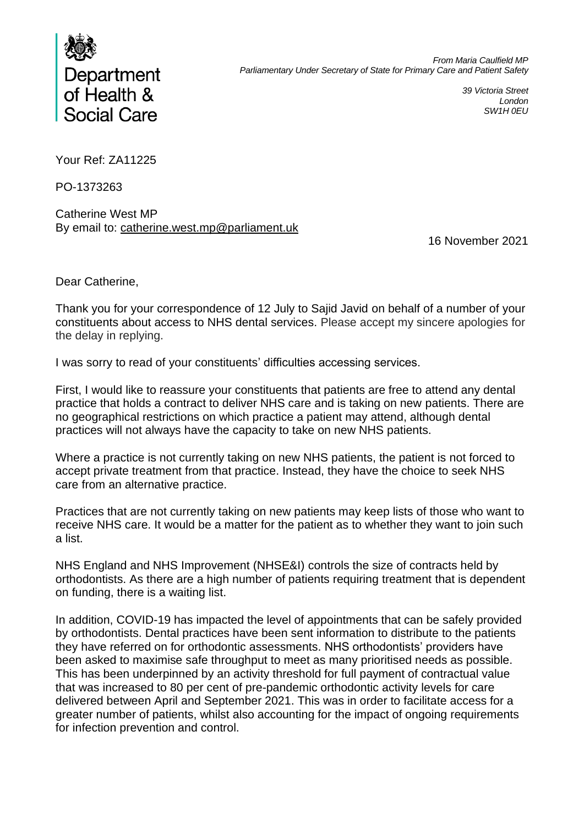

*39 Victoria Street London SW1H 0EU*

Your Ref: ZA11225

PO-1373263

Catherine West MP By email to: catherine.west.mp@parliament.uk

16 November 2021

Dear Catherine,

Thank you for your correspondence of 12 July to Sajid Javid on behalf of a number of your constituents about access to NHS dental services. Please accept my sincere apologies for the delay in replying.

I was sorry to read of your constituents' difficulties accessing services.

First, I would like to reassure your constituents that patients are free to attend any dental practice that holds a contract to deliver NHS care and is taking on new patients. There are no geographical restrictions on which practice a patient may attend, although dental practices will not always have the capacity to take on new NHS patients.

Where a practice is not currently taking on new NHS patients, the patient is not forced to accept private treatment from that practice. Instead, they have the choice to seek NHS care from an alternative practice.

Practices that are not currently taking on new patients may keep lists of those who want to receive NHS care. It would be a matter for the patient as to whether they want to join such a list.

NHS England and NHS Improvement (NHSE&I) controls the size of contracts held by orthodontists. As there are a high number of patients requiring treatment that is dependent on funding, there is a waiting list.

In addition, COVID-19 has impacted the level of appointments that can be safely provided by orthodontists. Dental practices have been sent information to distribute to the patients they have referred on for orthodontic assessments. NHS orthodontists' providers have been asked to maximise safe throughput to meet as many prioritised needs as possible. This has been underpinned by an activity threshold for full payment of contractual value that was increased to 80 per cent of pre-pandemic orthodontic activity levels for care delivered between April and September 2021. This was in order to facilitate access for a greater number of patients, whilst also accounting for the impact of ongoing requirements for infection prevention and control.